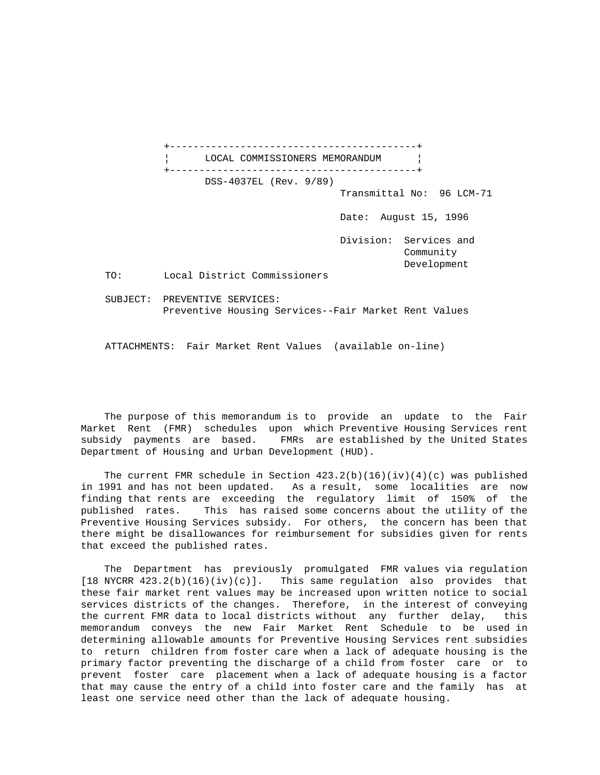+------------------------------------------+ LOCAL COMMISSIONERS MEMORANDUM +------------------------------------------+ DSS-4037EL (Rev. 9/89) Transmittal No: 96 LCM-71 Date: August 15, 1996 Division: Services and Community Development TO: Local District Commissioners SUBJECT: PREVENTIVE SERVICES: Preventive Housing Services--Fair Market Rent Values

ATTACHMENTS: Fair Market Rent Values (available on-line)

 The purpose of this memorandum is to provide an update to the Fair Market Rent (FMR) schedules upon which Preventive Housing Services rent subsidy payments are based. FMRs are established by the United States Department of Housing and Urban Development (HUD).

The current FMR schedule in Section  $423.2(b)(16)(iv)(4)(c)$  was published in 1991 and has not been updated. As a result, some localities are now finding that rents are exceeding the regulatory limit of 150% of the published rates. This has raised some concerns about the utility of the Preventive Housing Services subsidy. For others, the concern has been that there might be disallowances for reimbursement for subsidies given for rents that exceed the published rates.

 The Department has previously promulgated FMR values via regulation [18 NYCRR 423.2(b)(16)(iv)(c)]. This same regulation also provides that these fair market rent values may be increased upon written notice to social services districts of the changes. Therefore, in the interest of conveying the current FMR data to local districts without any further delay, this memorandum conveys the new Fair Market Rent Schedule to be used in determining allowable amounts for Preventive Housing Services rent subsidies to return children from foster care when a lack of adequate housing is the primary factor preventing the discharge of a child from foster care or to prevent foster care placement when a lack of adequate housing is a factor that may cause the entry of a child into foster care and the family has at least one service need other than the lack of adequate housing.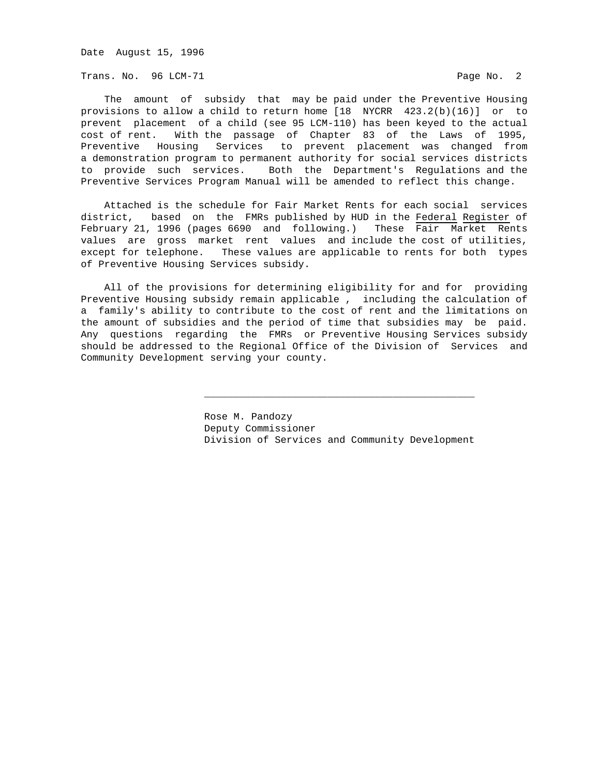Date August 15, 1996

Trans. No. 96 LCM-71 **Page No. 2** 

 The amount of subsidy that may be paid under the Preventive Housing provisions to allow a child to return home [18 NYCRR 423.2(b)(16)] or to prevent placement of a child (see 95 LCM-110) has been keyed to the actual cost of rent. With the passage of Chapter 83 of the Laws of 1995, Preventive Housing Services to prevent placement was changed from a demonstration program to permanent authority for social services districts to provide such services. Both the Department's Regulations and the Preventive Services Program Manual will be amended to reflect this change.

 Attached is the schedule for Fair Market Rents for each social services district, based on the FMRs published by HUD in the Federal Register of February 21, 1996 (pages 6690 and following.) These Fair Market Rents values are gross market rent values and include the cost of utilities, except for telephone. These values are applicable to rents for both types of Preventive Housing Services subsidy.

 All of the provisions for determining eligibility for and for providing Preventive Housing subsidy remain applicable , including the calculation of a family's ability to contribute to the cost of rent and the limitations on the amount of subsidies and the period of time that subsidies may be paid. Any questions regarding the FMRs or Preventive Housing Services subsidy should be addressed to the Regional Office of the Division of Services and Community Development serving your county.

\_\_\_\_\_\_\_\_\_\_\_\_\_\_\_\_\_\_\_\_\_\_\_\_\_\_\_\_\_\_\_\_\_\_\_\_\_\_\_\_\_\_\_\_\_\_

 Rose M. Pandozy Deputy Commissioner Division of Services and Community Development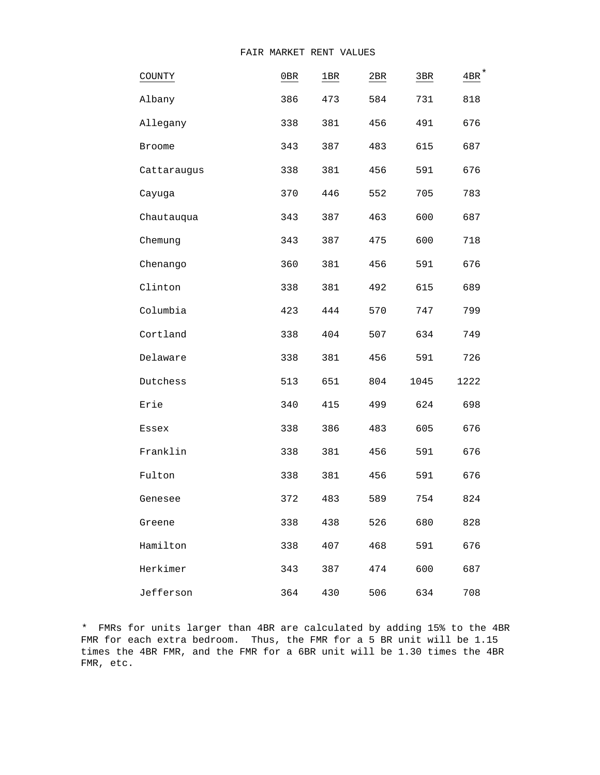| COUNTY      | 0B  | 1BR | 2BR | 3BR  | $4BR$ <sup>*</sup> |
|-------------|-----|-----|-----|------|--------------------|
| Albany      | 386 | 473 | 584 | 731  | 818                |
| Allegany    | 338 | 381 | 456 | 491  | 676                |
| Broome      | 343 | 387 | 483 | 615  | 687                |
| Cattaraugus | 338 | 381 | 456 | 591  | 676                |
| Cayuga      | 370 | 446 | 552 | 705  | 783                |
| Chautauqua  | 343 | 387 | 463 | 600  | 687                |
| Chemung     | 343 | 387 | 475 | 600  | 718                |
| Chenango    | 360 | 381 | 456 | 591  | 676                |
| Clinton     | 338 | 381 | 492 | 615  | 689                |
| Columbia    | 423 | 444 | 570 | 747  | 799                |
| Cortland    | 338 | 404 | 507 | 634  | 749                |
| Delaware    | 338 | 381 | 456 | 591  | 726                |
| Dutchess    | 513 | 651 | 804 | 1045 | 1222               |
| Erie        | 340 | 415 | 499 | 624  | 698                |
| Essex       | 338 | 386 | 483 | 605  | 676                |
| Franklin    | 338 | 381 | 456 | 591  | 676                |
| Fulton      | 338 | 381 | 456 | 591  | 676                |
| Genesee     | 372 | 483 | 589 | 754  | 824                |
| Greene      | 338 | 438 | 526 | 680  | 828                |
| Hamilton    | 338 | 407 | 468 | 591  | 676                |
| Herkimer    | 343 | 387 | 474 | 600  | 687                |
| Jefferson   | 364 | 430 | 506 | 634  | 708                |

\* FMRs for units larger than 4BR are calculated by adding 15% to the 4BR FMR for each extra bedroom. Thus, the FMR for a 5 BR unit will be 1.15 times the 4BR FMR, and the FMR for a 6BR unit will be 1.30 times the 4BR FMR, etc.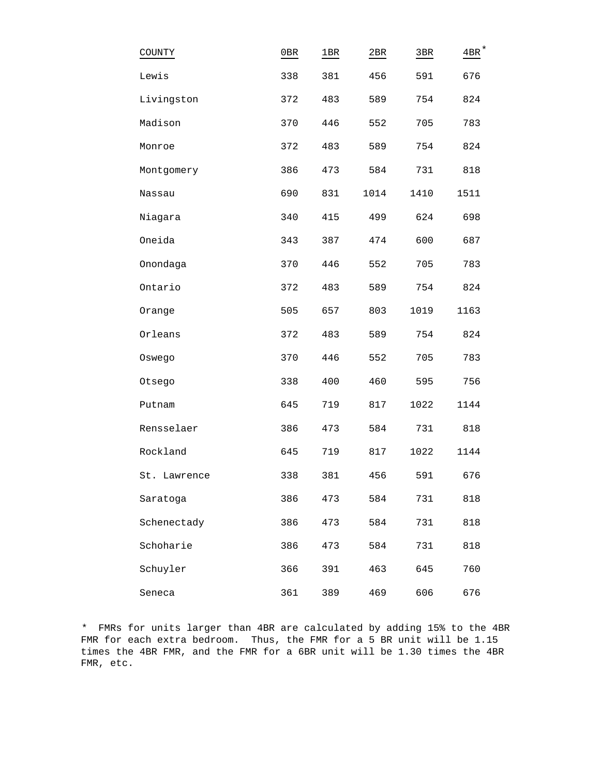| COUNTY       | 0B  | 1BR | 2BR  | 3BR  | $4BR^*$ |
|--------------|-----|-----|------|------|---------|
| Lewis        | 338 | 381 | 456  | 591  | 676     |
| Livingston   | 372 | 483 | 589  | 754  | 824     |
| Madison      | 370 | 446 | 552  | 705  | 783     |
| Monroe       | 372 | 483 | 589  | 754  | 824     |
| Montgomery   | 386 | 473 | 584  | 731  | 818     |
| Nassau       | 690 | 831 | 1014 | 1410 | 1511    |
| Niagara      | 340 | 415 | 499  | 624  | 698     |
| Oneida       | 343 | 387 | 474  | 600  | 687     |
| Onondaga     | 370 | 446 | 552  | 705  | 783     |
| Ontario      | 372 | 483 | 589  | 754  | 824     |
| Orange       | 505 | 657 | 803  | 1019 | 1163    |
| Orleans      | 372 | 483 | 589  | 754  | 824     |
| Oswego       | 370 | 446 | 552  | 705  | 783     |
| Otsego       | 338 | 400 | 460  | 595  | 756     |
| Putnam       | 645 | 719 | 817  | 1022 | 1144    |
| Rensselaer   | 386 | 473 | 584  | 731  | 818     |
| Rockland     | 645 | 719 | 817  | 1022 | 1144    |
| St. Lawrence | 338 | 381 | 456  | 591  | 676     |
| Saratoga     | 386 | 473 | 584  | 731  | 818     |
| Schenectady  | 386 | 473 | 584  | 731  | 818     |
| Schoharie    | 386 | 473 | 584  | 731  | 818     |
| Schuyler     | 366 | 391 | 463  | 645  | 760     |
| Seneca       | 361 | 389 | 469  | 606  | 676     |

\* FMRs for units larger than 4BR are calculated by adding 15% to the 4BR FMR for each extra bedroom. Thus, the FMR for a 5 BR unit will be 1.15 times the 4BR FMR, and the FMR for a 6BR unit will be 1.30 times the 4BR FMR, etc.